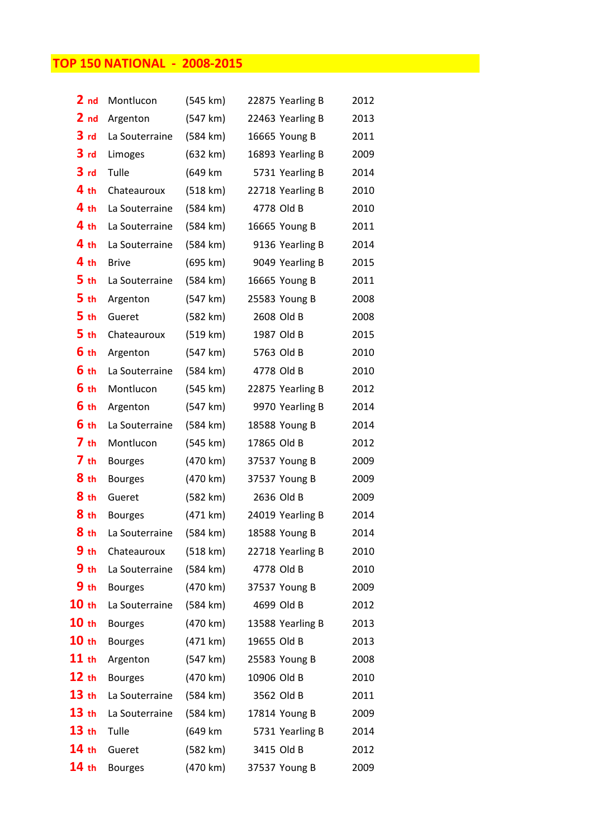## TOP 150 NATIONAL - 2008-2015

| 2 <sub>nd</sub>  | Montlucon      | (545 km)           | 22875 Yearling B | 2012 |
|------------------|----------------|--------------------|------------------|------|
| 2 <sub>nd</sub>  | Argenton       | (547 km)           | 22463 Yearling B | 2013 |
| 3 <sub>rd</sub>  | La Souterraine | (584 km)           | 16665 Young B    | 2011 |
| 3 <sub>rd</sub>  | Limoges        | (632 km)           | 16893 Yearling B | 2009 |
| 3 <sub>rd</sub>  | Tulle          | (649 km            | 5731 Yearling B  | 2014 |
| 4 <sub>th</sub>  | Chateauroux    | (518 km)           | 22718 Yearling B | 2010 |
| 4 <sub>th</sub>  | La Souterraine | (584 km)           | 4778 Old B       | 2010 |
| 4 <sub>th</sub>  | La Souterraine | (584 km)           | 16665 Young B    | 2011 |
| 4 <sub>th</sub>  | La Souterraine | (584 km)           | 9136 Yearling B  | 2014 |
| 4 <sub>th</sub>  | <b>Brive</b>   | (695 km)           | 9049 Yearling B  | 2015 |
| 5 <sub>th</sub>  | La Souterraine | $(584 \text{ km})$ | 16665 Young B    | 2011 |
| 5 <sub>th</sub>  | Argenton       | (547 km)           | 25583 Young B    | 2008 |
| 5 <sub>th</sub>  | Gueret         | (582 km)           | 2608 Old B       | 2008 |
| 5 <sub>th</sub>  | Chateauroux    | (519 km)           | 1987 Old B       | 2015 |
| 6 th             | Argenton       | (547 km)           | 5763 Old B       | 2010 |
| 6 th             | La Souterraine | (584 km)           | 4778 Old B       | 2010 |
| 6 th             | Montlucon      | (545 km)           | 22875 Yearling B | 2012 |
| 6 th             | Argenton       | (547 km)           | 9970 Yearling B  | 2014 |
| 6 th             | La Souterraine | (584 km)           | 18588 Young B    | 2014 |
| 7 <sub>th</sub>  | Montlucon      | (545 km)           | 17865 Old B      | 2012 |
| 7 <sub>th</sub>  | <b>Bourges</b> | (470 km)           | 37537 Young B    | 2009 |
| 8 th             | <b>Bourges</b> | (470 km)           | 37537 Young B    | 2009 |
| 8 th             | Gueret         | (582 km)           | 2636 Old B       | 2009 |
| 8 th             | <b>Bourges</b> | (471 km)           | 24019 Yearling B | 2014 |
| 8 <sub>th</sub>  | La Souterraine | (584 km)           | 18588 Young B    | 2014 |
| 9 <sub>th</sub>  | Chateauroux    | (518 km)           | 22718 Yearling B | 2010 |
| 9 <sub>th</sub>  | La Souterraine | (584 km)           | 4778 Old B       | 2010 |
| 9 <sub>th</sub>  | <b>Bourges</b> | (470 km)           | 37537 Young B    | 2009 |
| 10 <sub>th</sub> | La Souterraine | (584 km)           | 4699 Old B       | 2012 |
| 10 <sub>th</sub> | <b>Bourges</b> | (470 km)           | 13588 Yearling B | 2013 |
| 10 <sub>th</sub> | <b>Bourges</b> | (471 km)           | 19655 Old B      | 2013 |
| $11$ th          | Argenton       | (547 km)           | 25583 Young B    | 2008 |
| 12 th            | <b>Bourges</b> | (470 km)           | 10906 Old B      | 2010 |
| 13 <sub>th</sub> | La Souterraine | (584 km)           | 3562 Old B       | 2011 |
| 13 <sub>th</sub> | La Souterraine | (584 km)           | 17814 Young B    | 2009 |
| 13 <sub>th</sub> | Tulle          | (649 km            | 5731 Yearling B  | 2014 |
| 14 <sub>th</sub> | Gueret         | (582 km)           | 3415 Old B       | 2012 |
| 14 <sub>th</sub> | <b>Bourges</b> | (470 km)           | 37537 Young B    | 2009 |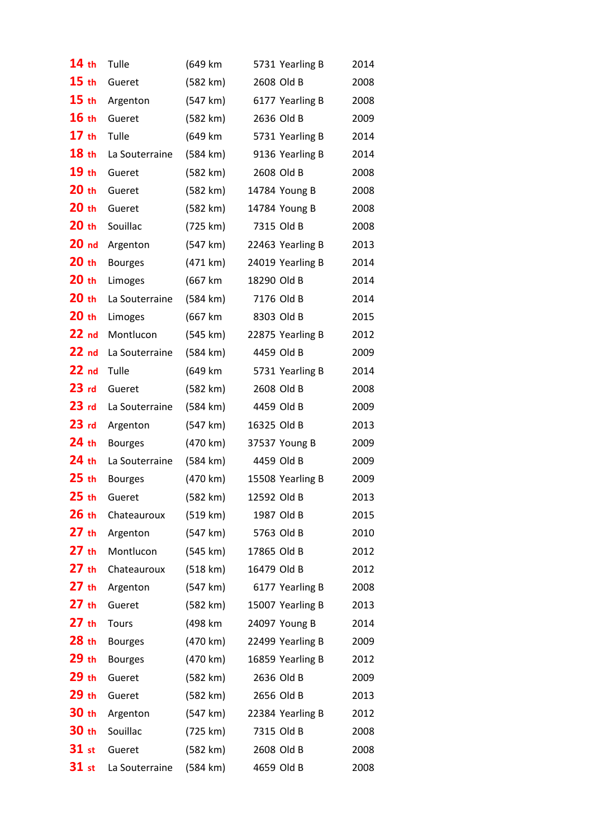| 14th             | Tulle          | (649 km  | 5731 Yearling B  | 2014 |
|------------------|----------------|----------|------------------|------|
| 15 <sub>th</sub> | Gueret         | (582 km) | 2608 Old B       | 2008 |
| 15 <sub>th</sub> | Argenton       | (547 km) | 6177 Yearling B  | 2008 |
| 16th             | Gueret         | (582 km) | 2636 Old B       | 2009 |
| 17th             | Tulle          | (649 km  | 5731 Yearling B  | 2014 |
| 18 th            | La Souterraine | (584 km) | 9136 Yearling B  | 2014 |
| 19 <sub>th</sub> | Gueret         | (582 km) | 2608 Old B       | 2008 |
| 20 <sub>th</sub> | Gueret         | (582 km) | 14784 Young B    | 2008 |
| 20 <sub>th</sub> | Gueret         | (582 km) | 14784 Young B    | 2008 |
| 20 <sub>th</sub> | Souillac       | (725 km) | 7315 Old B       | 2008 |
| 20 <sub>nd</sub> | Argenton       | (547 km) | 22463 Yearling B | 2013 |
| 20 <sub>th</sub> | <b>Bourges</b> | (471 km) | 24019 Yearling B | 2014 |
| 20 <sub>th</sub> | Limoges        | (667 km  | 18290 Old B      | 2014 |
| 20 <sub>th</sub> | La Souterraine | (584 km) | 7176 Old B       | 2014 |
| $20$ th          | Limoges        | (667 km  | 8303 Old B       | 2015 |
| 22 <sub>nd</sub> | Montlucon      | (545 km) | 22875 Yearling B | 2012 |
| 22 <sub>nd</sub> | La Souterraine | (584 km) | 4459 Old B       | 2009 |
| 22 <sub>nd</sub> | Tulle          | (649 km  | 5731 Yearling B  | 2014 |
| 23 <sub>rd</sub> | Gueret         | (582 km) | 2608 Old B       | 2008 |
| 23 <sub>rd</sub> | La Souterraine | (584 km) | 4459 Old B       | 2009 |
| 23 <sub>rd</sub> | Argenton       | (547 km) | 16325 Old B      | 2013 |
| 24 th            | <b>Bourges</b> | (470 km) | 37537 Young B    | 2009 |
| $24$ th          | La Souterraine | (584 km) | 4459 Old B       | 2009 |
| 25 <sub>th</sub> | <b>Bourges</b> | (470 km) | 15508 Yearling B | 2009 |
| $25$ th          | Gueret         | (582 km) | 12592 Old B      | 2013 |
| 26 th            | Chateauroux    | (519 km) | 1987 Old B       | 2015 |
| $27$ th          | Argenton       | (547 km) | 5763 Old B       | 2010 |
| $27$ th          | Montlucon      | (545 km) | 17865 Old B      | 2012 |
| 27 th            | Chateauroux    | (518 km) | 16479 Old B      | 2012 |
| $27$ th          | Argenton       | (547 km) | 6177 Yearling B  | 2008 |
| 27 th            | Gueret         | (582 km) | 15007 Yearling B | 2013 |
| 27 th            | Tours          | (498 km  | 24097 Young B    | 2014 |
| 28 th            | <b>Bourges</b> | (470 km) | 22499 Yearling B | 2009 |
| 29 th            | <b>Bourges</b> | (470 km) | 16859 Yearling B | 2012 |
| 29 th            | Gueret         | (582 km) | 2636 Old B       | 2009 |
| 29 th            | Gueret         | (582 km) | 2656 Old B       | 2013 |
| 30 th            | Argenton       | (547 km) | 22384 Yearling B | 2012 |
| 30 th            | Souillac       | (725 km) | 7315 Old B       | 2008 |
| $31$ st          | Gueret         | (582 km) | 2608 Old B       | 2008 |
| $31$ st          | La Souterraine | (584 km) | 4659 Old B       | 2008 |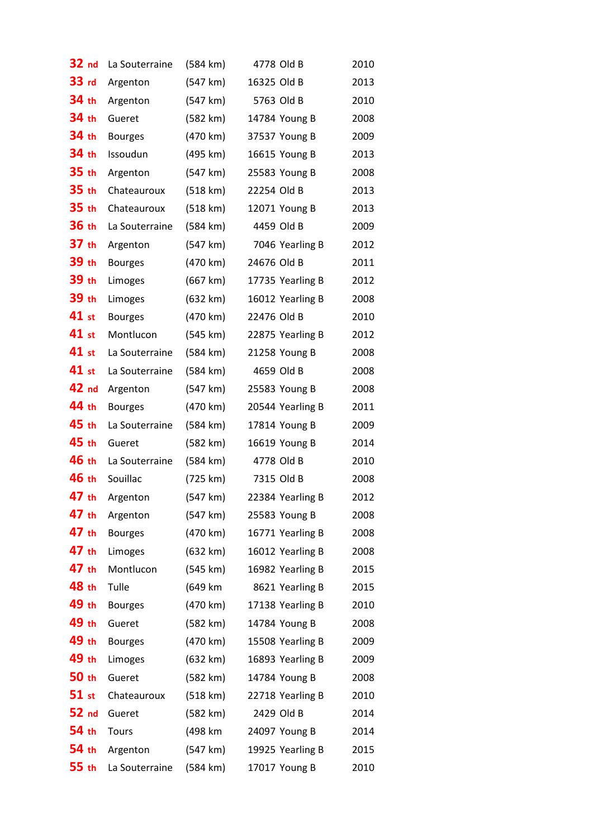| 32 nd            | La Souterraine | (584 km)           | 4778 Old B       | 2010 |
|------------------|----------------|--------------------|------------------|------|
| 33 rd            | Argenton       | (547 km)           | 16325 Old B      | 2013 |
| 34 th            | Argenton       | (547 km)           | 5763 Old B       | 2010 |
| 34 th            | Gueret         | (582 km)           | 14784 Young B    | 2008 |
| 34 th            | <b>Bourges</b> | (470 km)           | 37537 Young B    | 2009 |
| 34 th            | Issoudun       | (495 km)           | 16615 Young B    | 2013 |
| 35 th            | Argenton       | (547 km)           | 25583 Young B    | 2008 |
| 35 th            | Chateauroux    | (518 km)           | 22254 Old B      | 2013 |
| 35 th            | Chateauroux    | (518 km)           | 12071 Young B    | 2013 |
| 36 th            | La Souterraine | (584 km)           | 4459 Old B       | 2009 |
| 37 <sub>th</sub> | Argenton       | (547 km)           | 7046 Yearling B  | 2012 |
| 39 th            | <b>Bourges</b> | (470 km)           | 24676 Old B      | 2011 |
| 39 th            | Limoges        | (667 km)           | 17735 Yearling B | 2012 |
| 39 th            | Limoges        | (632 km)           | 16012 Yearling B | 2008 |
| 41 st            | <b>Bourges</b> | (470 km)           | 22476 Old B      | 2010 |
| 41 st            | Montlucon      | (545 km)           | 22875 Yearling B | 2012 |
| 41 st            | La Souterraine | (584 km)           | 21258 Young B    | 2008 |
| 41 st            | La Souterraine | (584 km)           | 4659 Old B       | 2008 |
| 42 nd            | Argenton       | (547 km)           | 25583 Young B    | 2008 |
| 44 th            | <b>Bourges</b> | (470 km)           | 20544 Yearling B | 2011 |
| 45 th            | La Souterraine | (584 km)           | 17814 Young B    | 2009 |
| 45 th            | Gueret         | (582 km)           | 16619 Young B    | 2014 |
| 46 th            | La Souterraine | (584 km)           | 4778 Old B       | 2010 |
| 46 th            | Souillac       | (725 km)           | 7315 Old B       | 2008 |
| 47 th            | Argenton       | (547 km)           | 22384 Yearling B | 2012 |
| 47 th            | Argenton       | (547 km)           | 25583 Young B    | 2008 |
| 47 th            | <b>Bourges</b> | (470 km)           | 16771 Yearling B | 2008 |
| 47 th            | Limoges        | (632 km)           | 16012 Yearling B | 2008 |
| 47 th            | Montlucon      | (545 km)           | 16982 Yearling B | 2015 |
| 48 th            | Tulle          | (649 km            | 8621 Yearling B  | 2015 |
| 49 th            | <b>Bourges</b> | (470 km)           | 17138 Yearling B | 2010 |
| 49 th            | Gueret         | (582 km)           | 14784 Young B    | 2008 |
| 49 th            | <b>Bourges</b> | (470 km)           | 15508 Yearling B | 2009 |
| 49 th            | Limoges        | (632 km)           | 16893 Yearling B | 2009 |
| 50 th            | Gueret         | (582 km)           | 14784 Young B    | 2008 |
| $51$ st          | Chateauroux    | (518 km)           | 22718 Yearling B | 2010 |
| 52 <sub>nd</sub> | Gueret         | (582 km)           | 2429 Old B       | 2014 |
| 54 th            | Tours          | (498 km            | 24097 Young B    | 2014 |
| 54 th            | Argenton       | (547 km)           | 19925 Yearling B | 2015 |
| 55 th            | La Souterraine | $(584 \text{ km})$ | 17017 Young B    | 2010 |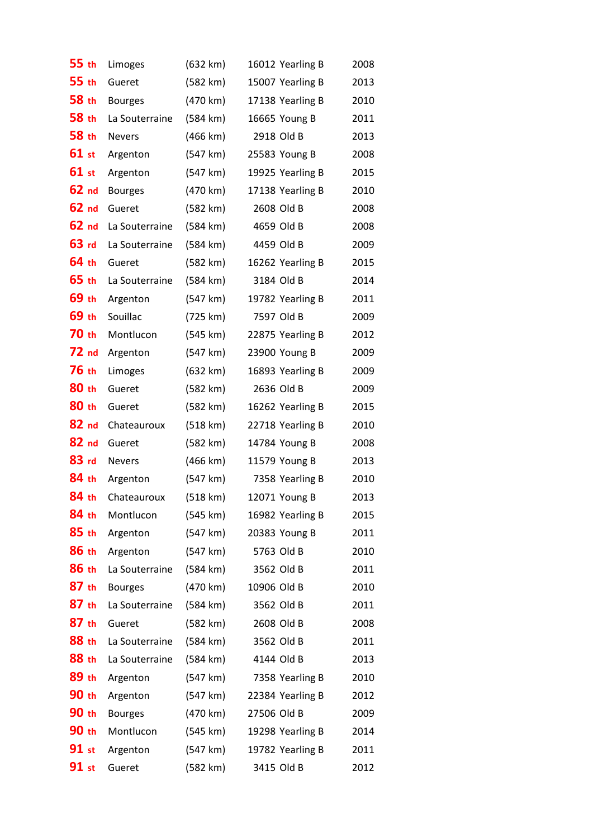| 55 th            | Limoges                 | (632 km) | 16012 Yearling B | 2008 |
|------------------|-------------------------|----------|------------------|------|
| 55 th            | Gueret                  | (582 km) | 15007 Yearling B | 2013 |
| 58 th            | <b>Bourges</b>          | (470 km) | 17138 Yearling B | 2010 |
| 58 th            | La Souterraine          | (584 km) | 16665 Young B    | 2011 |
| 58 th            | <b>Nevers</b>           | (466 km) | 2918 Old B       | 2013 |
| 61 st            | Argenton                | (547 km) | 25583 Young B    | 2008 |
| 61 st            | Argenton                | (547 km) | 19925 Yearling B | 2015 |
| 62 <sub>nd</sub> | <b>Bourges</b>          | (470 km) | 17138 Yearling B | 2010 |
| 62 <sub>nd</sub> | Gueret                  | (582 km) | 2608 Old B       | 2008 |
| 62 <sub>nd</sub> | La Souterraine          | (584 km) | 4659 Old B       | 2008 |
| 63 rd            | La Souterraine          | (584 km) | 4459 Old B       | 2009 |
| 64 th            | Gueret                  | (582 km) | 16262 Yearling B | 2015 |
| 65 th            | La Souterraine          | (584 km) | 3184 Old B       | 2014 |
| 69 th            | Argenton                | (547 km) | 19782 Yearling B | 2011 |
| 69 th            | Souillac                | (725 km) | 7597 Old B       | 2009 |
| 70 th            | Montlucon               | (545 km) | 22875 Yearling B | 2012 |
| 72 <sub>nd</sub> | Argenton                | (547 km) | 23900 Young B    | 2009 |
| 76 th            | Limoges                 | (632 km) | 16893 Yearling B | 2009 |
| 80 th            | Gueret                  | (582 km) | 2636 Old B       | 2009 |
| 80 th            | Gueret                  | (582 km) | 16262 Yearling B | 2015 |
| 82 <sub>nd</sub> | Chateauroux             | (518 km) | 22718 Yearling B | 2010 |
| 82 nd            | Gueret                  | (582 km) | 14784 Young B    | 2008 |
| $83$ rd          | <b>Nevers</b>           | (466 km) | 11579 Young B    | 2013 |
| 84 th            | Argenton                | (547 km) | 7358 Yearling B  | 2010 |
| 84 th            | Chateauroux             | (518 km) | 12071 Young B    | 2013 |
| 84 th            | Montlucon               | (545 km) | 16982 Yearling B | 2015 |
| 85th             | Argenton                | (547 km) | 20383 Young B    | 2011 |
| 86 th            | Argenton                | (547 km) | 5763 Old B       | 2010 |
| 86 th            | La Souterraine (584 km) |          | 3562 Old B       | 2011 |
| 87 th            | <b>Bourges</b>          | (470 km) | 10906 Old B      | 2010 |
| $87$ th          | La Souterraine          | (584 km) | 3562 Old B       | 2011 |
| 87 th            | Gueret                  | (582 km) | 2608 Old B       | 2008 |
| 88 th            | La Souterraine          | (584 km) | 3562 Old B       | 2011 |
| 88 th            | La Souterraine          | (584 km) | 4144 Old B       | 2013 |
| 89 th            | Argenton                | (547 km) | 7358 Yearling B  | 2010 |
| 90 th            | Argenton                | (547 km) | 22384 Yearling B | 2012 |
| 90 th            | <b>Bourges</b>          | (470 km) | 27506 Old B      | 2009 |
| 90 th            | Montlucon               | (545 km) | 19298 Yearling B | 2014 |
| 91 st            | Argenton                | (547 km) | 19782 Yearling B | 2011 |
| 91 st            | Gueret                  | (582 km) | 3415 Old B       | 2012 |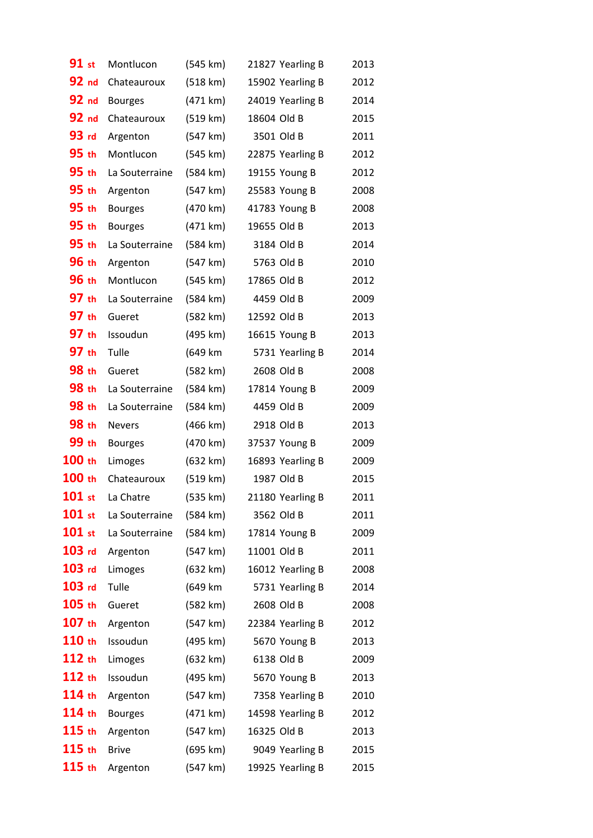| 91 st             | Montlucon      | (545 km)           |             | 21827 Yearling B | 2013 |
|-------------------|----------------|--------------------|-------------|------------------|------|
| 92 nd             | Chateauroux    | (518 km)           |             | 15902 Yearling B | 2012 |
| 92 nd             | <b>Bourges</b> | (471 km)           |             | 24019 Yearling B | 2014 |
| 92 nd             | Chateauroux    | (519 km)           | 18604 Old B |                  | 2015 |
| 93 rd             | Argenton       | (547 km)           | 3501 Old B  |                  | 2011 |
| 95 th             | Montlucon      | (545 km)           |             | 22875 Yearling B | 2012 |
| 95 th             | La Souterraine | (584 km)           |             | 19155 Young B    | 2012 |
| 95 th             | Argenton       | (547 km)           |             | 25583 Young B    | 2008 |
| 95 th             | <b>Bourges</b> | (470 km)           |             | 41783 Young B    | 2008 |
| 95 th             | <b>Bourges</b> | (471 km)           | 19655 Old B |                  | 2013 |
| 95 <sub>th</sub>  | La Souterraine | $(584 \text{ km})$ | 3184 Old B  |                  | 2014 |
| 96 th             | Argenton       | (547 km)           | 5763 Old B  |                  | 2010 |
| <b>96 th</b>      | Montlucon      | (545 km)           | 17865 Old B |                  | 2012 |
| 97 th             | La Souterraine | (584 km)           | 4459 Old B  |                  | 2009 |
| 97 th             | Gueret         | (582 km)           | 12592 Old B |                  | 2013 |
| 97 th             | Issoudun       | (495 km)           |             | 16615 Young B    | 2013 |
| 97 th             | Tulle          | (649 km            |             | 5731 Yearling B  | 2014 |
| 98 th             | Gueret         | (582 km)           | 2608 Old B  |                  | 2008 |
| 98 th             | La Souterraine | (584 km)           |             | 17814 Young B    | 2009 |
| 98 th             | La Souterraine | (584 km)           | 4459 Old B  |                  | 2009 |
| 98 th             | <b>Nevers</b>  | (466 km)           | 2918 Old B  |                  | 2013 |
| 99 th             | <b>Bourges</b> | (470 km)           |             | 37537 Young B    | 2009 |
| 100 th            | Limoges        | (632 km)           |             | 16893 Yearling B | 2009 |
| 100 th            | Chateauroux    | (519 km)           | 1987 Old B  |                  | 2015 |
| $101$ st          | La Chatre      | (535 km)           |             | 21180 Yearling B | 2011 |
| $101$ st          | La Souterraine | (584 km)           | 3562 Old B  |                  | 2011 |
| $101$ st          | La Souterraine | (584 km)           |             | 17814 Young B    | 2009 |
| $103$ rd          | Argenton       | (547 km)           | 11001 Old B |                  | 2011 |
| $103$ rd          | Limoges        | (632 km)           |             | 16012 Yearling B | 2008 |
| $103$ rd          | Tulle          | (649 km            |             | 5731 Yearling B  | 2014 |
| $105$ th          | Gueret         | (582 km)           | 2608 Old B  |                  | 2008 |
| $107$ th          | Argenton       | (547 km)           |             | 22384 Yearling B | 2012 |
| 110 <sub>th</sub> | Issoudun       | (495 km)           |             | 5670 Young B     | 2013 |
| 112 th            | Limoges        | (632 km)           | 6138 Old B  |                  | 2009 |
| 112 th            | Issoudun       | (495 km)           |             | 5670 Young B     | 2013 |
| $114$ th          | Argenton       | (547 km)           |             | 7358 Yearling B  | 2010 |
| $114$ th          | <b>Bourges</b> | (471 km)           |             | 14598 Yearling B | 2012 |
| $115$ th          | Argenton       | (547 km)           | 16325 Old B |                  | 2013 |
| $115$ th          | <b>Brive</b>   | (695 km)           |             | 9049 Yearling B  | 2015 |
| $115$ th          | Argenton       | (547 km)           |             | 19925 Yearling B | 2015 |